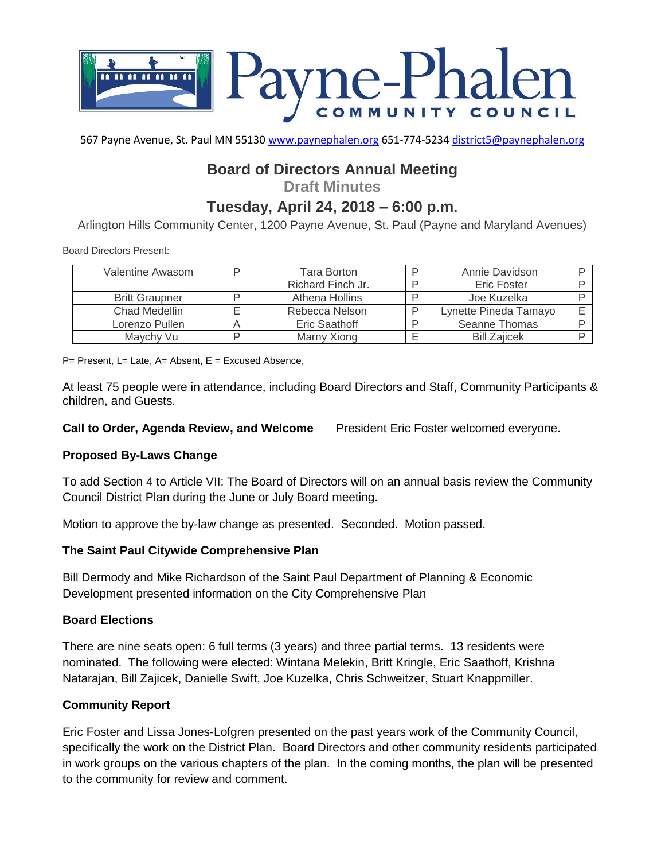

567 Payne Avenue, St. Paul MN 55130 [www.paynephalen.org](http://www.paynephalen.org/) 651-774-5234 [district5@paynephalen.org](mailto:district5@paynephalen.org)

## **Board of Directors Annual Meeting**

**Draft Minutes**

# **Tuesday, April 24, 2018 – 6:00 p.m.**

Arlington Hills Community Center, 1200 Payne Avenue, St. Paul (Payne and Maryland Avenues)

Board Directors Present:

| Valentine Awasom      | D | Tara Borton       | D | Annie Davidson        |  |
|-----------------------|---|-------------------|---|-----------------------|--|
|                       |   | Richard Finch Jr. | ח | <b>Eric Foster</b>    |  |
| <b>Britt Graupner</b> | D | Athena Hollins    | ח | Joe Kuzelka           |  |
| Chad Medellin         |   | Rebecca Nelson    | D | Lynette Pineda Tamayo |  |
| Lorenzo Pullen        | Α | Eric Saathoff     | D | Seanne Thomas         |  |
| Maychy Vu             | D | Marny Xiong       |   | <b>Bill Zajicek</b>   |  |

 $P=$  Present, L= Late, A= Absent, E = Excused Absence,

At least 75 people were in attendance, including Board Directors and Staff, Community Participants & children, and Guests.

**Call to Order, Agenda Review, and Welcome** President Eric Foster welcomed everyone.

### **Proposed By-Laws Change**

To add Section 4 to Article VII: The Board of Directors will on an annual basis review the Community Council District Plan during the June or July Board meeting.

Motion to approve the by-law change as presented. Seconded. Motion passed.

### **The Saint Paul Citywide Comprehensive Plan**

Bill Dermody and Mike Richardson of the Saint Paul Department of Planning & Economic Development presented information on the City Comprehensive Plan

### **Board Elections**

There are nine seats open: 6 full terms (3 years) and three partial terms. 13 residents were nominated. The following were elected: Wintana Melekin, Britt Kringle, Eric Saathoff, Krishna Natarajan, Bill Zajicek, Danielle Swift, Joe Kuzelka, Chris Schweitzer, Stuart Knappmiller.

#### **Community Report**

Eric Foster and Lissa Jones-Lofgren presented on the past years work of the Community Council, specifically the work on the District Plan. Board Directors and other community residents participated in work groups on the various chapters of the plan. In the coming months, the plan will be presented to the community for review and comment.